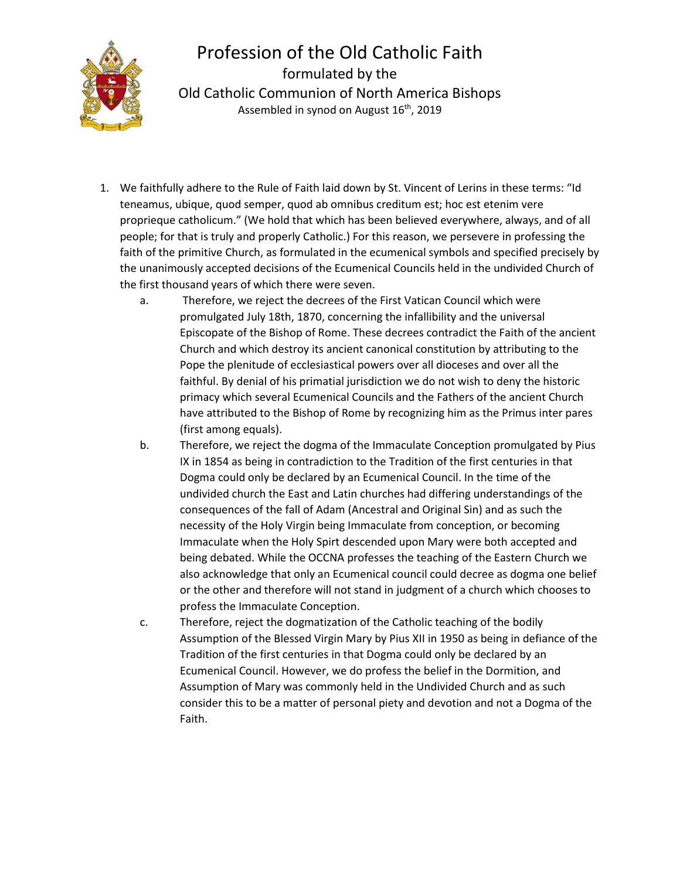

## Profession of the Old Catholic Faith formulated by the Old Catholic Communion of North America Bishops Assembled in synod on August 16<sup>th</sup>, 2019

- 1. We faithfully adhere to the Rule of Faith laid down by St. Vincent of Lerins in these terms: "Id teneamus, ubique, quod semper, quod ab omnibus creditum est; hoc est etenim vere proprieque catholicum." (We hold that which has been believed everywhere, always, and of all people; for that is truly and properly Catholic.) For this reason, we persevere in professing the faith of the primitive Church, as formulated in the ecumenical symbols and specified precisely by the unanimously accepted decisions of the Ecumenical Councils held in the undivided Church of the first thousand years of which there were seven.
	- a. Therefore, we reject the decrees of the First Vatican Council which were promulgated July 18th, 1870, concerning the infallibility and the universal Episcopate of the Bishop of Rome. These decrees contradict the Faith of the ancient Church and which destroy its ancient canonical constitution by attributing to the Pope the plenitude of ecclesiastical powers over all dioceses and over all the faithful. By denial of his primatial jurisdiction we do not wish to deny the historic primacy which several Ecumenical Councils and the Fathers of the ancient Church have attributed to the Bishop of Rome by recognizing him as the Primus inter pares (first among equals).
	- b. Therefore, we reject the dogma of the Immaculate Conception promulgated by Pius IX in 1854 as being in contradiction to the Tradition of the first centuries in that Dogma could only be declared by an Ecumenical Council. In the time of the undivided church the East and Latin churches had differing understandings of the consequences of the fall of Adam (Ancestral and Original Sin) and as such the necessity of the Holy Virgin being Immaculate from conception, or becoming Immaculate when the Holy Spirt descended upon Mary were both accepted and being debated. While the OCCNA professes the teaching of the Eastern Church we also acknowledge that only an Ecumenical council could decree as dogma one belief or the other and therefore will not stand in judgment of a church which chooses to profess the Immaculate Conception.
	- c. Therefore, reject the dogmatization of the Catholic teaching of the bodily Assumption of the Blessed Virgin Mary by Pius XII in 1950 as being in defiance of the Tradition of the first centuries in that Dogma could only be declared by an Ecumenical Council. However, we do profess the belief in the Dormition, and Assumption of Mary was commonly held in the Undivided Church and as such consider this to be a matter of personal piety and devotion and not a Dogma of the Faith.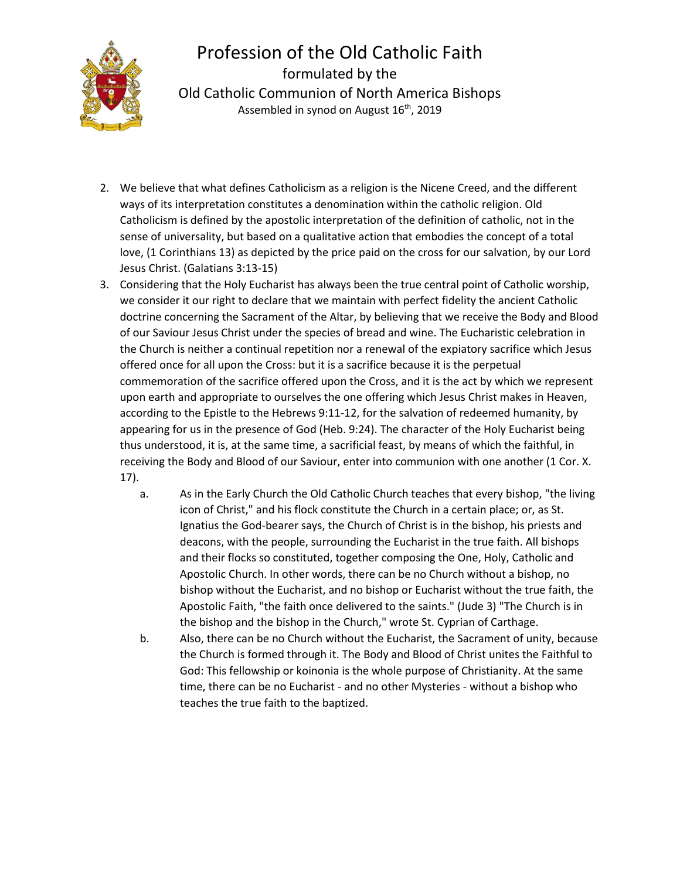

## Profession of the Old Catholic Faith formulated by the Old Catholic Communion of North America Bishops Assembled in synod on August 16<sup>th</sup>, 2019

- 2. We believe that what defines Catholicism as a religion is the Nicene Creed, and the different ways of its interpretation constitutes a denomination within the catholic religion. Old Catholicism is defined by the apostolic interpretation of the definition of catholic, not in the sense of universality, but based on a qualitative action that embodies the concept of a total love, (1 Corinthians 13) as depicted by the price paid on the cross for our salvation, by our Lord Jesus Christ. (Galatians 3:13-15)
- 3. Considering that the Holy Eucharist has always been the true central point of Catholic worship, we consider it our right to declare that we maintain with perfect fidelity the ancient Catholic doctrine concerning the Sacrament of the Altar, by believing that we receive the Body and Blood of our Saviour Jesus Christ under the species of bread and wine. The Eucharistic celebration in the Church is neither a continual repetition nor a renewal of the expiatory sacrifice which Jesus offered once for all upon the Cross: but it is a sacrifice because it is the perpetual commemoration of the sacrifice offered upon the Cross, and it is the act by which we represent upon earth and appropriate to ourselves the one offering which Jesus Christ makes in Heaven, according to the Epistle to the Hebrews 9:11-12, for the salvation of redeemed humanity, by appearing for us in the presence of God (Heb. 9:24). The character of the Holy Eucharist being thus understood, it is, at the same time, a sacrificial feast, by means of which the faithful, in receiving the Body and Blood of our Saviour, enter into communion with one another (1 Cor. X. 17).
	- a. As in the Early Church the Old Catholic Church teaches that every bishop, "the living icon of Christ," and his flock constitute the Church in a certain place; or, as St. Ignatius the God-bearer says, the Church of Christ is in the bishop, his priests and deacons, with the people, surrounding the Eucharist in the true faith. All bishops and their flocks so constituted, together composing the One, Holy, Catholic and Apostolic Church. In other words, there can be no Church without a bishop, no bishop without the Eucharist, and no bishop or Eucharist without the true faith, the Apostolic Faith, "the faith once delivered to the saints." (Jude 3) "The Church is in the bishop and the bishop in the Church," wrote St. Cyprian of Carthage.
	- b. Also, there can be no Church without the Eucharist, the Sacrament of unity, because the Church is formed through it. The Body and Blood of Christ unites the Faithful to God: This fellowship or koinonia is the whole purpose of Christianity. At the same time, there can be no Eucharist - and no other Mysteries - without a bishop who teaches the true faith to the baptized.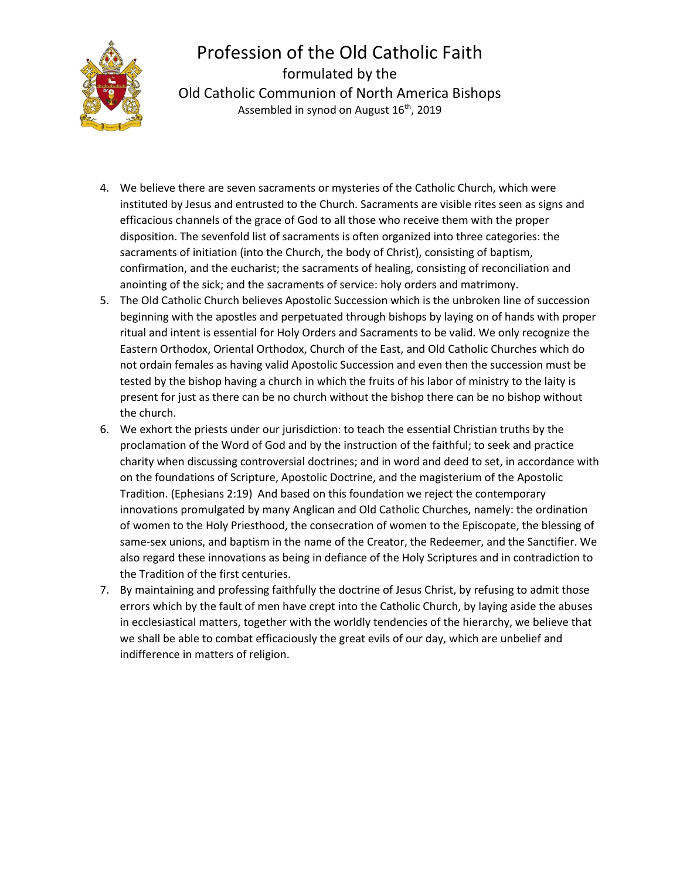

## Profession of the Old Catholic Faith formulated by the Old Catholic Communion of North America Bishops Assembled in synod on August 16<sup>th</sup>, 2019

- 4. We believe there are seven sacraments or mysteries of the Catholic Church, which were instituted by Jesus and entrusted to the Church. Sacraments are visible rites seen as signs and efficacious channels of the grace of God to all those who receive them with the proper disposition. The sevenfold list of sacraments is often organized into three categories: the sacraments of initiation (into the Church, the body of Christ), consisting of baptism, confirmation, and the eucharist; the sacraments of healing, consisting of reconciliation and anointing of the sick; and the sacraments of service: holy orders and matrimony.
- 5. The Old Catholic Church believes Apostolic Succession which is the unbroken line of succession beginning with the apostles and perpetuated through bishops by laying on of hands with proper ritual and intent is essential for Holy Orders and Sacraments to be valid. We only recognize the Eastern Orthodox, Oriental Orthodox, Church of the East, and Old Catholic Churches which do not ordain females as having valid Apostolic Succession and even then the succession must be tested by the bishop having a church in which the fruits of his labor of ministry to the laity is present for just as there can be no church without the bishop there can be no bishop without the church.
- 6. We exhort the priests under our jurisdiction: to teach the essential Christian truths by the proclamation of the Word of God and by the instruction of the faithful; to seek and practice charity when discussing controversial doctrines; and in word and deed to set, in accordance with on the foundations of Scripture, Apostolic Doctrine, and the magisterium of the Apostolic Tradition. (Ephesians 2:19) And based on this foundation we reject the contemporary innovations promulgated by many Anglican and Old Catholic Churches, namely: the ordination of women to the Holy Priesthood, the consecration of women to the Episcopate, the blessing of same-sex unions, and baptism in the name of the Creator, the Redeemer, and the Sanctifier. We also regard these innovations as being in defiance of the Holy Scriptures and in contradiction to the Tradition of the first centuries.
- 7. By maintaining and professing faithfully the doctrine of Jesus Christ, by refusing to admit those errors which by the fault of men have crept into the Catholic Church, by laying aside the abuses in ecclesiastical matters, together with the worldly tendencies of the hierarchy, we believe that we shall be able to combat efficaciously the great evils of our day, which are unbelief and indifference in matters of religion.